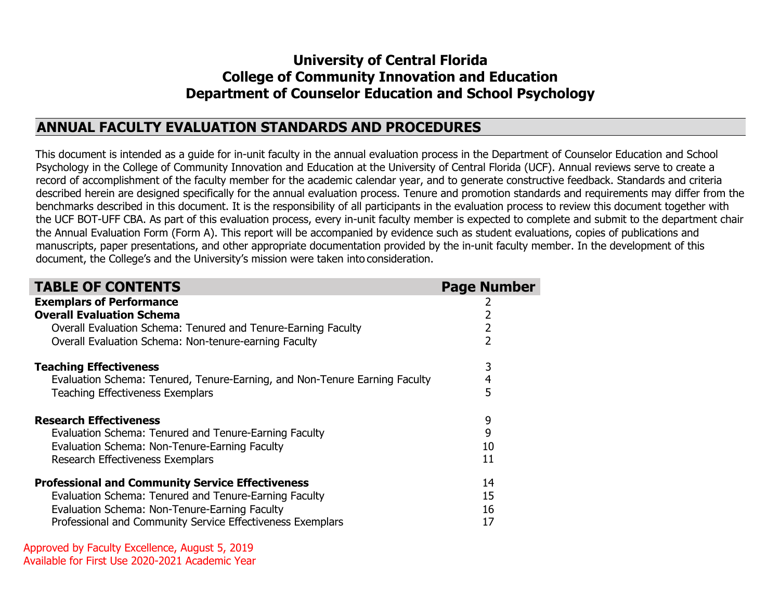# **University of Central Florida College of Community Innovation and Education Department of Counselor Education and School Psychology**

# **ANNUAL FACULTY EVALUATION STANDARDS AND PROCEDURES**

This document is intended as a guide for in-unit faculty in the annual evaluation process in the Department of Counselor Education and School Psychology in the College of Community Innovation and Education at the University of Central Florida (UCF). Annual reviews serve to create a record of accomplishment of the faculty member for the academic calendar year, and to generate constructive feedback. Standards and criteria described herein are designed specifically for the annual evaluation process. Tenure and promotion standards and requirements may differ from the benchmarks described in this document. It is the responsibility of all participants in the evaluation process to review this document together with the UCF BOT-UFF CBA. As part of this evaluation process, every in-unit faculty member is expected to complete and submit to the department chair the Annual Evaluation Form (Form A). This report will be accompanied by evidence such as student evaluations, copies of publications and manuscripts, paper presentations, and other appropriate documentation provided by the in-unit faculty member. In the development of this document, the College's and the University's mission were taken into consideration.

| <b>TABLE OF CONTENTS</b>                                                   | <b>Page Number</b> |
|----------------------------------------------------------------------------|--------------------|
| <b>Exemplars of Performance</b>                                            |                    |
| <b>Overall Evaluation Schema</b>                                           |                    |
| Overall Evaluation Schema: Tenured and Tenure-Earning Faculty              | 2                  |
| Overall Evaluation Schema: Non-tenure-earning Faculty                      | 2                  |
| <b>Teaching Effectiveness</b>                                              | 3                  |
| Evaluation Schema: Tenured, Tenure-Earning, and Non-Tenure Earning Faculty | 4                  |
| <b>Teaching Effectiveness Exemplars</b>                                    | 5                  |
| <b>Research Effectiveness</b>                                              | 9                  |
| Evaluation Schema: Tenured and Tenure-Earning Faculty                      | 9                  |
| Evaluation Schema: Non-Tenure-Earning Faculty                              | 10                 |
| Research Effectiveness Exemplars                                           | 11                 |
| <b>Professional and Community Service Effectiveness</b>                    | 14                 |
| Evaluation Schema: Tenured and Tenure-Earning Faculty                      | 15                 |
| Evaluation Schema: Non-Tenure-Earning Faculty                              | 16                 |
| Professional and Community Service Effectiveness Exemplars                 | 17                 |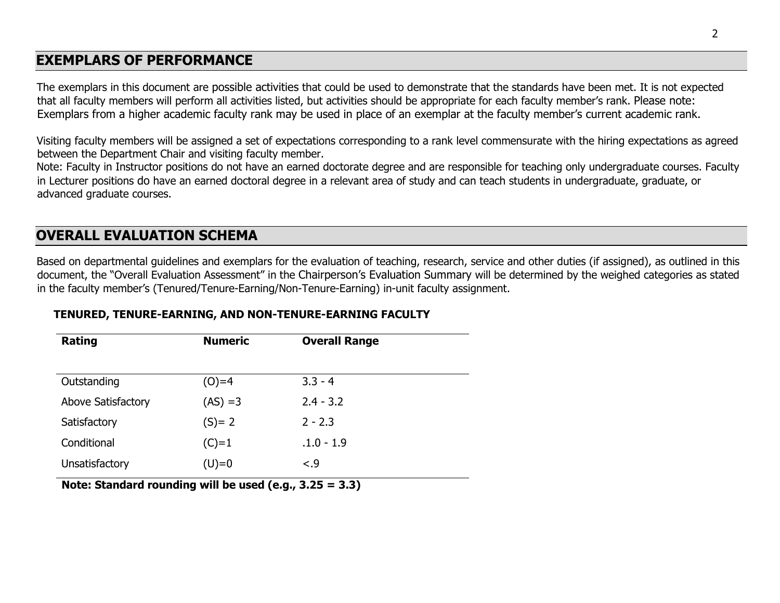# **EXEMPLARS OF PERFORMANCE**

The exemplars in this document are possible activities that could be used to demonstrate that the standards have been met. It is not expected that all faculty members will perform all activities listed, but activities should be appropriate for each faculty member's rank. Please note: Exemplars from a higher academic faculty rank may be used in place of an exemplar at the faculty member's current academic rank.

Visiting faculty members will be assigned a set of expectations corresponding to a rank level commensurate with the hiring expectations as agreed between the Department Chair and visiting faculty member.

Note: Faculty in Instructor positions do not have an earned doctorate degree and are responsible for teaching only undergraduate courses. Faculty in Lecturer positions do have an earned doctoral degree in a relevant area of study and can teach students in undergraduate, graduate, or advanced graduate courses.

# **OVERALL EVALUATION SCHEMA**

Based on departmental guidelines and exemplars for the evaluation of teaching, research, service and other duties (if assigned), as outlined in this document, the "Overall Evaluation Assessment" in the Chairperson's Evaluation Summary will be determined by the weighed categories as stated in the faculty member's (Tenured/Tenure-Earning/Non-Tenure-Earning) in-unit faculty assignment.

| Rating             | <b>Numeric</b> | <b>Overall Range</b> |
|--------------------|----------------|----------------------|
|                    |                |                      |
| Outstanding        | $(O)=4$        | $3.3 - 4$            |
| Above Satisfactory | $(AS) = 3$     | $2.4 - 3.2$          |
| Satisfactory       | $(S) = 2$      | $2 - 2.3$            |
| Conditional        | $(C)=1$        | $.1.0 - 1.9$         |
| Unsatisfactory     | $(U)=0$        | $-.9$                |

# **TENURED, TENURE-EARNING, AND NON-TENURE-EARNING FACULTY**

**Note: Standard rounding will be used (e.g., 3.25 = 3.3)**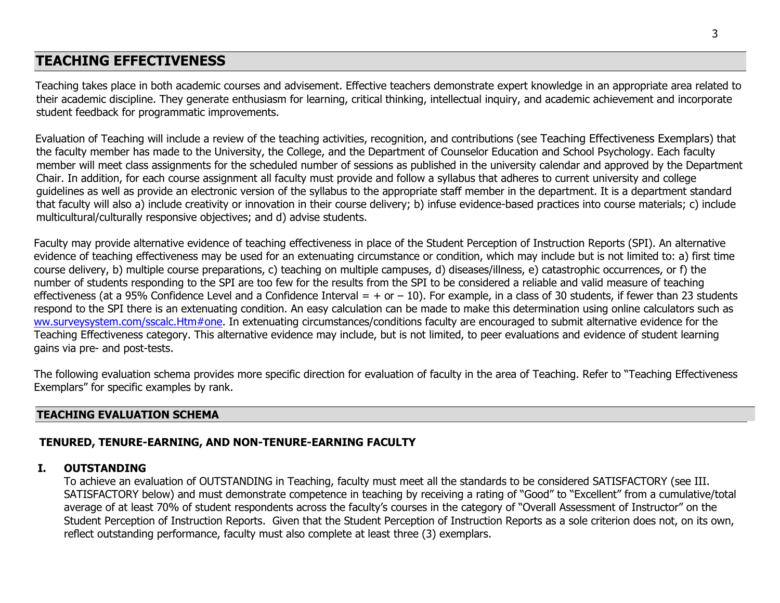# **TEACHING EFFECTIVENESS**

Teaching takes place in both academic courses and advisement. Effective teachers demonstrate expert knowledge in an appropriate area related to their academic discipline. They generate enthusiasm for learning, critical thinking, intellectual inquiry, and academic achievement and incorporate student feedback for programmatic improvements.

Evaluation of Teaching will include a review of the teaching activities, recognition, and contributions (see Teaching Effectiveness Exemplars) that the faculty member has made to the University, the College, and the Department of Counselor Education and School Psychology. Each faculty member will meet class assignments for the scheduled number of sessions as published in the university calendar and approved by the Department Chair. In addition, for each course assignment all faculty must provide and follow a syllabus that adheres to current university and college guidelines as well as provide an electronic version of the syllabus to the appropriate staff member in the department. It is a department standard that faculty will also a) include creativity or innovation in their course delivery; b) infuse evidence-based practices into course materials; c) include multicultural/culturally responsive objectives; and d) advise students.

Faculty may provide alternative evidence of teaching effectiveness in place of the Student Perception of Instruction Reports (SPI). An alternative evidence of teaching effectiveness may be used for an extenuating circumstance or condition, which may include but is not limited to: a) first time course delivery, b) multiple course preparations, c) teaching on multiple campuses, d) diseases/illness, e) catastrophic occurrences, or f) the number of students responding to the SPI are too few for the results from the SPI to be considered a reliable and valid measure of teaching effectiveness (at a 95% Confidence Level and a Confidence Interval = + or - 10). For example, in a class of 30 students, if fewer than 23 students respond to the SPI there is an extenuating condition. An easy calculation can be made to make this determination using online calculators such as [ww.surveysystem.com/sscalc.Htm#one.](https://nam02.safelinks.protection.outlook.com/?url=http%3A%2F%2Fww.surveysystem.com%2Fsscalc.Htm%23one&data=02%7C01%7Cdaylejones%40ucf.edu%7Cfc739ed43afc4c49bc5208d6f00dfe1e%7Cbb932f15ef3842ba91fcf3c59d5dd1f1%7C0%7C0%7C636960340219060204&sdata=eVPZfXOIe8JB9ADrHkI5kkfWoTrpVjh%2BGmbKudxk4V0%3D&reserved=0) In extenuating circumstances/conditions faculty are encouraged to submit alternative evidence for the Teaching Effectiveness category. This alternative evidence may include, but is not limited, to peer evaluations and evidence of student learning gains via pre- and post-tests.

The following evaluation schema provides more specific direction for evaluation of faculty in the area of Teaching. Refer to "Teaching Effectiveness Exemplars" for specific examples by rank.

## **TEACHING EVALUATION SCHEMA**

## **TENURED, TENURE-EARNING, AND NON-TENURE-EARNING FACULTY**

### **I. OUTSTANDING**

To achieve an evaluation of OUTSTANDING in Teaching, faculty must meet all the standards to be considered SATISFACTORY (see III. SATISFACTORY below) and must demonstrate competence in teaching by receiving a rating of "Good" to "Excellent" from a cumulative/total average of at least 70% of student respondents across the faculty's courses in the category of "Overall Assessment of Instructor" on the Student Perception of Instruction Reports. Given that the Student Perception of Instruction Reports as a sole criterion does not, on its own, reflect outstanding performance, faculty must also complete at least three (3) exemplars.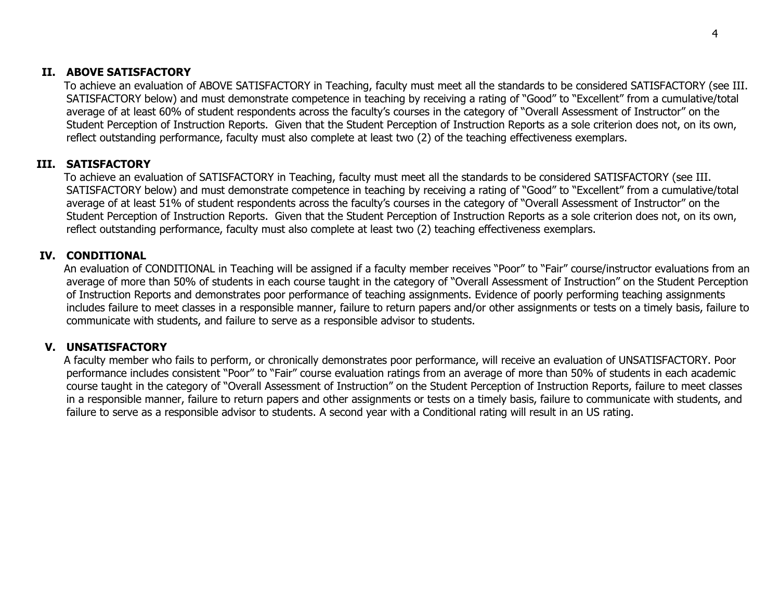## **II. ABOVE SATISFACTORY**

To achieve an evaluation of ABOVE SATISFACTORY in Teaching, faculty must meet all the standards to be considered SATISFACTORY (see III. SATISFACTORY below) and must demonstrate competence in teaching by receiving a rating of "Good" to "Excellent" from a cumulative/total average of at least 60% of student respondents across the faculty's courses in the category of "Overall Assessment of Instructor" on the Student Perception of Instruction Reports. Given that the Student Perception of Instruction Reports as a sole criterion does not, on its own, reflect outstanding performance, faculty must also complete at least two (2) of the teaching effectiveness exemplars.

## **III. SATISFACTORY**

To achieve an evaluation of SATISFACTORY in Teaching, faculty must meet all the standards to be considered SATISFACTORY (see III. SATISFACTORY below) and must demonstrate competence in teaching by receiving a rating of "Good" to "Excellent" from a cumulative/total average of at least 51% of student respondents across the faculty's courses in the category of "Overall Assessment of Instructor" on the Student Perception of Instruction Reports. Given that the Student Perception of Instruction Reports as a sole criterion does not, on its own, reflect outstanding performance, faculty must also complete at least two (2) teaching effectiveness exemplars.

## **IV. CONDITIONAL**

An evaluation of CONDITIONAL in Teaching will be assigned if a faculty member receives "Poor" to "Fair" course/instructor evaluations from an average of more than 50% of students in each course taught in the category of "Overall Assessment of Instruction" on the Student Perception of Instruction Reports and demonstrates poor performance of teaching assignments. Evidence of poorly performing teaching assignments includes failure to meet classes in a responsible manner, failure to return papers and/or other assignments or tests on a timely basis, failure to communicate with students, and failure to serve as a responsible advisor to students.

### **V. UNSATISFACTORY**

A faculty member who fails to perform, or chronically demonstrates poor performance, will receive an evaluation of UNSATISFACTORY. Poor performance includes consistent "Poor" to "Fair" course evaluation ratings from an average of more than 50% of students in each academic course taught in the category of "Overall Assessment of Instruction" on the Student Perception of Instruction Reports, failure to meet classes in a responsible manner, failure to return papers and other assignments or tests on a timely basis, failure to communicate with students, and failure to serve as a responsible advisor to students. A second year with a Conditional rating will result in an US rating.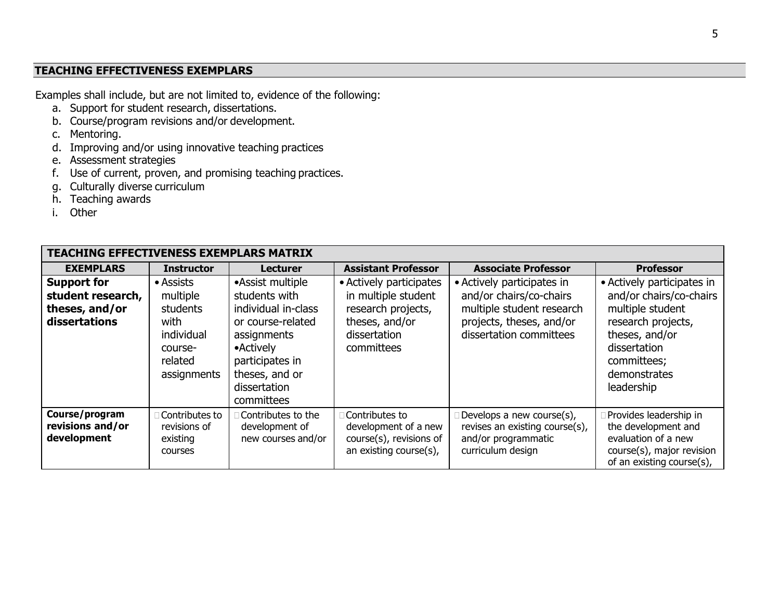## **TEACHING EFFECTIVENESS EXEMPLARS**

Examples shall include, but are not limited to, evidence of the following:

- a. Support for student research, dissertations.
- b. Course/program revisions and/or development.
- c. Mentoring.
- d. Improving and/or using innovative teaching practices
- e. Assessment strategies
- f. Use of current, proven, and promising teaching practices.
- g. Culturally diverse curriculum
- h. Teaching awards
- i. Other

| <b>TEACHING EFFECTIVENESS EXEMPLARS MATRIX</b>                             |                                                                                              |                                                                                                                                                                               |                                                                                                                      |                                                                                                                                           |                                                                                                                                                                                |  |  |
|----------------------------------------------------------------------------|----------------------------------------------------------------------------------------------|-------------------------------------------------------------------------------------------------------------------------------------------------------------------------------|----------------------------------------------------------------------------------------------------------------------|-------------------------------------------------------------------------------------------------------------------------------------------|--------------------------------------------------------------------------------------------------------------------------------------------------------------------------------|--|--|
| <b>EXEMPLARS</b>                                                           | <b>Instructor</b>                                                                            | <b>Lecturer</b>                                                                                                                                                               | <b>Assistant Professor</b>                                                                                           | <b>Associate Professor</b>                                                                                                                | <b>Professor</b>                                                                                                                                                               |  |  |
| <b>Support for</b><br>student research,<br>theses, and/or<br>dissertations | • Assists<br>multiple<br>students<br>with<br>individual<br>course-<br>related<br>assignments | •Assist multiple<br>students with<br>individual in-class<br>or course-related<br>assignments<br>• Actively<br>participates in<br>theses, and or<br>dissertation<br>committees | • Actively participates<br>in multiple student<br>research projects,<br>theses, and/or<br>dissertation<br>committees | • Actively participates in<br>and/or chairs/co-chairs<br>multiple student research<br>projects, theses, and/or<br>dissertation committees | • Actively participates in<br>and/or chairs/co-chairs<br>multiple student<br>research projects,<br>theses, and/or<br>dissertation<br>committees;<br>demonstrates<br>leadership |  |  |
| Course/program<br>revisions and/or<br>development                          | Contributes to<br>revisions of<br>existing<br>courses                                        | Contributes to the<br>development of<br>new courses and/or                                                                                                                    | Contributes to<br>development of a new<br>course(s), revisions of<br>an existing course(s),                          | Develops a new course(s),<br>revises an existing course(s),<br>and/or programmatic<br>curriculum design                                   | Provides leadership in<br>the development and<br>evaluation of a new<br>course(s), major revision<br>of an existing course(s),                                                 |  |  |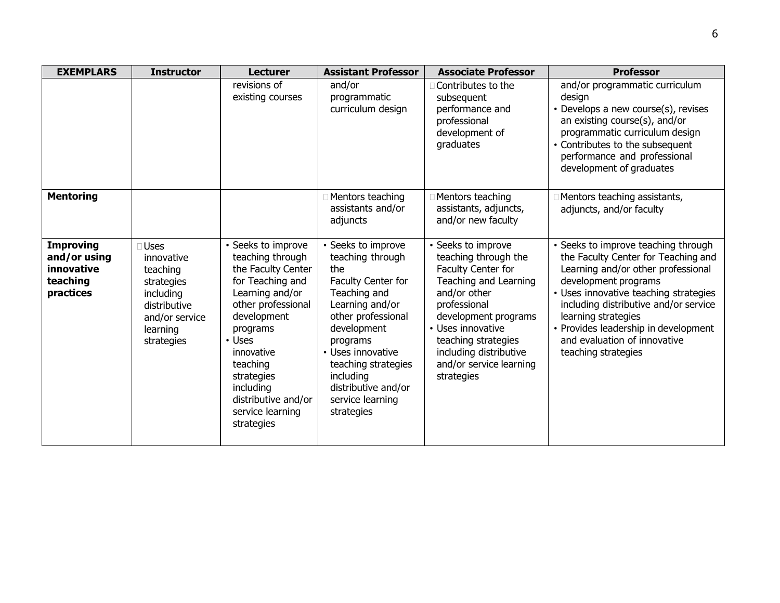| <b>EXEMPLARS</b>                                                        | <b>Instructor</b>                                                                                                            | <b>Lecturer</b>                                                                                                                                                                                                                                                            | <b>Assistant Professor</b>                                                                                                                                                                                                                                                | <b>Associate Professor</b>                                                                                                                                                                                                                                       | <b>Professor</b>                                                                                                                                                                                                                                                                                                                                 |
|-------------------------------------------------------------------------|------------------------------------------------------------------------------------------------------------------------------|----------------------------------------------------------------------------------------------------------------------------------------------------------------------------------------------------------------------------------------------------------------------------|---------------------------------------------------------------------------------------------------------------------------------------------------------------------------------------------------------------------------------------------------------------------------|------------------------------------------------------------------------------------------------------------------------------------------------------------------------------------------------------------------------------------------------------------------|--------------------------------------------------------------------------------------------------------------------------------------------------------------------------------------------------------------------------------------------------------------------------------------------------------------------------------------------------|
|                                                                         |                                                                                                                              | revisions of<br>existing courses                                                                                                                                                                                                                                           | and/or<br>programmatic<br>curriculum design                                                                                                                                                                                                                               | Contributes to the<br>subsequent<br>performance and<br>professional<br>development of<br>graduates                                                                                                                                                               | and/or programmatic curriculum<br>design<br>• Develops a new course(s), revises<br>an existing course(s), and/or<br>programmatic curriculum design<br>• Contributes to the subsequent<br>performance and professional<br>development of graduates                                                                                                |
| <b>Mentoring</b>                                                        |                                                                                                                              |                                                                                                                                                                                                                                                                            | □ Mentors teaching<br>assistants and/or<br>adjuncts                                                                                                                                                                                                                       | □ Mentors teaching<br>assistants, adjuncts,<br>and/or new faculty                                                                                                                                                                                                | Mentors teaching assistants,<br>adjuncts, and/or faculty                                                                                                                                                                                                                                                                                         |
| <b>Improving</b><br>and/or using<br>innovative<br>teaching<br>practices | <b>Uses</b><br>innovative<br>teaching<br>strategies<br>including<br>distributive<br>and/or service<br>learning<br>strategies | Seeks to improve<br>teaching through<br>the Faculty Center<br>for Teaching and<br>Learning and/or<br>other professional<br>development<br>programs<br>• Uses<br>innovative<br>teaching<br>strategies<br>including<br>distributive and/or<br>service learning<br>strategies | • Seeks to improve<br>teaching through<br>the<br>Faculty Center for<br>Teaching and<br>Learning and/or<br>other professional<br>development<br>programs<br>• Uses innovative<br>teaching strategies<br>including<br>distributive and/or<br>service learning<br>strategies | • Seeks to improve<br>teaching through the<br>Faculty Center for<br>Teaching and Learning<br>and/or other<br>professional<br>development programs<br>• Uses innovative<br>teaching strategies<br>including distributive<br>and/or service learning<br>strategies | • Seeks to improve teaching through<br>the Faculty Center for Teaching and<br>Learning and/or other professional<br>development programs<br>• Uses innovative teaching strategies<br>including distributive and/or service<br>learning strategies<br>• Provides leadership in development<br>and evaluation of innovative<br>teaching strategies |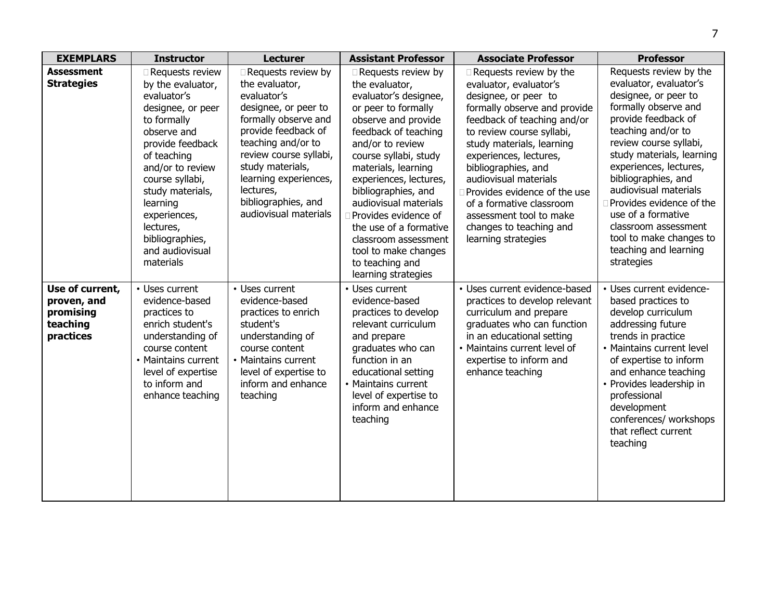| <b>EXEMPLARS</b>                                                     | <b>Instructor</b>                                                                                                                                                                                                                                                                                | <b>Lecturer</b>                                                                                                                                                                                                                                                                      | <b>Assistant Professor</b>                                                                                                                                                                                                                                                                                                                                                                                                    | <b>Associate Professor</b>                                                                                                                                                                                                                                                                                                                                                                                           | <b>Professor</b>                                                                                                                                                                                                                                                                                                                                                                                                           |
|----------------------------------------------------------------------|--------------------------------------------------------------------------------------------------------------------------------------------------------------------------------------------------------------------------------------------------------------------------------------------------|--------------------------------------------------------------------------------------------------------------------------------------------------------------------------------------------------------------------------------------------------------------------------------------|-------------------------------------------------------------------------------------------------------------------------------------------------------------------------------------------------------------------------------------------------------------------------------------------------------------------------------------------------------------------------------------------------------------------------------|----------------------------------------------------------------------------------------------------------------------------------------------------------------------------------------------------------------------------------------------------------------------------------------------------------------------------------------------------------------------------------------------------------------------|----------------------------------------------------------------------------------------------------------------------------------------------------------------------------------------------------------------------------------------------------------------------------------------------------------------------------------------------------------------------------------------------------------------------------|
| <b>Assessment</b><br><b>Strategies</b>                               | Requests review<br>by the evaluator,<br>evaluator's<br>designee, or peer<br>to formally<br>observe and<br>provide feedback<br>of teaching<br>and/or to review<br>course syllabi,<br>study materials,<br>learning<br>experiences,<br>lectures,<br>bibliographies,<br>and audiovisual<br>materials | Requests review by<br>the evaluator,<br>evaluator's<br>designee, or peer to<br>formally observe and<br>provide feedback of<br>teaching and/or to<br>review course syllabi,<br>study materials,<br>learning experiences,<br>lectures,<br>bibliographies, and<br>audiovisual materials | Requests review by<br>the evaluator,<br>evaluator's designee,<br>or peer to formally<br>observe and provide<br>feedback of teaching<br>and/or to review<br>course syllabi, study<br>materials, learning<br>experiences, lectures,<br>bibliographies, and<br>audiovisual materials<br>Provides evidence of<br>the use of a formative<br>classroom assessment<br>tool to make changes<br>to teaching and<br>learning strategies | Requests review by the<br>evaluator, evaluator's<br>designee, or peer to<br>formally observe and provide<br>feedback of teaching and/or<br>to review course syllabi,<br>study materials, learning<br>experiences, lectures,<br>bibliographies, and<br>audiovisual materials<br>Provides evidence of the use<br>of a formative classroom<br>assessment tool to make<br>changes to teaching and<br>learning strategies | Requests review by the<br>evaluator, evaluator's<br>designee, or peer to<br>formally observe and<br>provide feedback of<br>teaching and/or to<br>review course syllabi,<br>study materials, learning<br>experiences, lectures,<br>bibliographies, and<br>audiovisual materials<br>Provides evidence of the<br>use of a formative<br>classroom assessment<br>tool to make changes to<br>teaching and learning<br>strategies |
| Use of current,<br>proven, and<br>promising<br>teaching<br>practices | • Uses current<br>evidence-based<br>practices to<br>enrich student's<br>understanding of<br>course content<br>• Maintains current<br>level of expertise<br>to inform and<br>enhance teaching                                                                                                     | • Uses current<br>evidence-based<br>practices to enrich<br>student's<br>understanding of<br>course content<br>• Maintains current<br>level of expertise to<br>inform and enhance<br>teaching                                                                                         | • Uses current<br>evidence-based<br>practices to develop<br>relevant curriculum<br>and prepare<br>graduates who can<br>function in an<br>educational setting<br>• Maintains current<br>level of expertise to<br>inform and enhance<br>teaching                                                                                                                                                                                | • Uses current evidence-based<br>practices to develop relevant<br>curriculum and prepare<br>graduates who can function<br>in an educational setting<br>• Maintains current level of<br>expertise to inform and<br>enhance teaching                                                                                                                                                                                   | • Uses current evidence-<br>based practices to<br>develop curriculum<br>addressing future<br>trends in practice<br>• Maintains current level<br>of expertise to inform<br>and enhance teaching<br>• Provides leadership in<br>professional<br>development<br>conferences/ workshops<br>that reflect current<br>teaching                                                                                                    |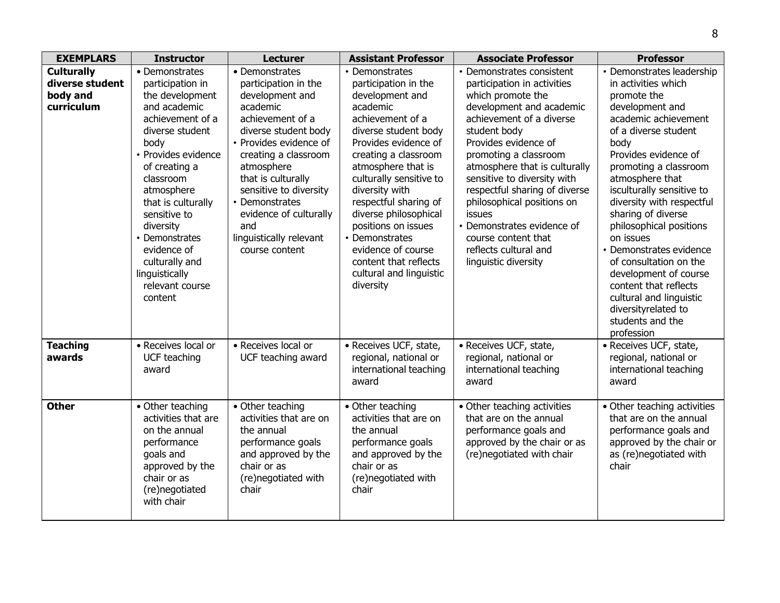| <b>EXEMPLARS</b>                                               | <b>Instructor</b>                                                                                                                                                                                                                                                                                                                             | <b>Lecturer</b>                                                                                                                                                                                                                                                                                                                   | <b>Assistant Professor</b>                                                                                                                                                                                                                                                                                                                                                                                             | <b>Associate Professor</b>                                                                                                                                                                                                                                                                                                                                                                                                                            | <b>Professor</b>                                                                                                                                                                                                                                                                                                                                                                                                                                                                                                                  |
|----------------------------------------------------------------|-----------------------------------------------------------------------------------------------------------------------------------------------------------------------------------------------------------------------------------------------------------------------------------------------------------------------------------------------|-----------------------------------------------------------------------------------------------------------------------------------------------------------------------------------------------------------------------------------------------------------------------------------------------------------------------------------|------------------------------------------------------------------------------------------------------------------------------------------------------------------------------------------------------------------------------------------------------------------------------------------------------------------------------------------------------------------------------------------------------------------------|-------------------------------------------------------------------------------------------------------------------------------------------------------------------------------------------------------------------------------------------------------------------------------------------------------------------------------------------------------------------------------------------------------------------------------------------------------|-----------------------------------------------------------------------------------------------------------------------------------------------------------------------------------------------------------------------------------------------------------------------------------------------------------------------------------------------------------------------------------------------------------------------------------------------------------------------------------------------------------------------------------|
| <b>Culturally</b><br>diverse student<br>body and<br>curriculum | • Demonstrates<br>participation in<br>the development<br>and academic<br>achievement of a<br>diverse student<br>body<br>• Provides evidence<br>of creating a<br>classroom<br>atmosphere<br>that is culturally<br>sensitive to<br>diversity<br>• Demonstrates<br>evidence of<br>culturally and<br>linguistically<br>relevant course<br>content | • Demonstrates<br>participation in the<br>development and<br>academic<br>achievement of a<br>diverse student body<br>• Provides evidence of<br>creating a classroom<br>atmosphere<br>that is culturally<br>sensitive to diversity<br>• Demonstrates<br>evidence of culturally<br>and<br>linguistically relevant<br>course content | • Demonstrates<br>participation in the<br>development and<br>academic<br>achievement of a<br>diverse student body<br>Provides evidence of<br>creating a classroom<br>atmosphere that is<br>culturally sensitive to<br>diversity with<br>respectful sharing of<br>diverse philosophical<br>positions on issues<br>• Demonstrates<br>evidence of course<br>content that reflects<br>cultural and linguistic<br>diversity | • Demonstrates consistent<br>participation in activities<br>which promote the<br>development and academic<br>achievement of a diverse<br>student body<br>Provides evidence of<br>promoting a classroom<br>atmosphere that is culturally<br>sensitive to diversity with<br>respectful sharing of diverse<br>philosophical positions on<br>issues<br>• Demonstrates evidence of<br>course content that<br>reflects cultural and<br>linguistic diversity | • Demonstrates leadership<br>in activities which<br>promote the<br>development and<br>academic achievement<br>of a diverse student<br>body<br>Provides evidence of<br>promoting a classroom<br>atmosphere that<br>isculturally sensitive to<br>diversity with respectful<br>sharing of diverse<br>philosophical positions<br>on issues<br>• Demonstrates evidence<br>of consultation on the<br>development of course<br>content that reflects<br>cultural and linguistic<br>diversityrelated to<br>students and the<br>profession |
| <b>Teaching</b><br>awards                                      | • Receives local or<br>UCF teaching<br>award                                                                                                                                                                                                                                                                                                  | • Receives local or<br>UCF teaching award                                                                                                                                                                                                                                                                                         | • Receives UCF, state,<br>regional, national or<br>international teaching<br>award                                                                                                                                                                                                                                                                                                                                     | • Receives UCF, state,<br>regional, national or<br>international teaching<br>award                                                                                                                                                                                                                                                                                                                                                                    | · Receives UCF, state,<br>regional, national or<br>international teaching<br>award                                                                                                                                                                                                                                                                                                                                                                                                                                                |
| <b>Other</b>                                                   | • Other teaching<br>activities that are<br>on the annual<br>performance<br>goals and<br>approved by the<br>chair or as<br>(re)negotiated<br>with chair                                                                                                                                                                                        | • Other teaching<br>activities that are on<br>the annual<br>performance goals<br>and approved by the<br>chair or as<br>(re)negotiated with<br>chair                                                                                                                                                                               | • Other teaching<br>activities that are on<br>the annual<br>performance goals<br>and approved by the<br>chair or as<br>(re)negotiated with<br>chair                                                                                                                                                                                                                                                                    | • Other teaching activities<br>that are on the annual<br>performance goals and<br>approved by the chair or as<br>(re)negotiated with chair                                                                                                                                                                                                                                                                                                            | • Other teaching activities<br>that are on the annual<br>performance goals and<br>approved by the chair or<br>as (re)negotiated with<br>chair                                                                                                                                                                                                                                                                                                                                                                                     |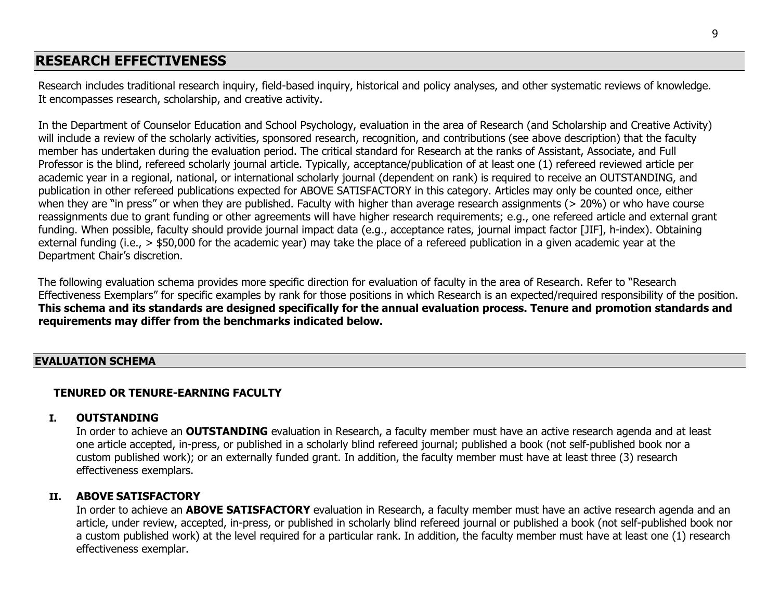# **RESEARCH EFFECTIVENESS**

Research includes traditional research inquiry, field-based inquiry, historical and policy analyses, and other systematic reviews of knowledge. It encompasses research, scholarship, and creative activity.

In the Department of Counselor Education and School Psychology, evaluation in the area of Research (and Scholarship and Creative Activity) will include a review of the scholarly activities, sponsored research, recognition, and contributions (see above description) that the faculty member has undertaken during the evaluation period. The critical standard for Research at the ranks of Assistant, Associate, and Full Professor is the blind, refereed scholarly journal article. Typically, acceptance/publication of at least one (1) refereed reviewed article per academic year in a regional, national, or international scholarly journal (dependent on rank) is required to receive an OUTSTANDING, and publication in other refereed publications expected for ABOVE SATISFACTORY in this category. Articles may only be counted once, either when they are "in press" or when they are published. Faculty with higher than average research assignments (> 20%) or who have course reassignments due to grant funding or other agreements will have higher research requirements; e.g., one refereed article and external grant funding. When possible, faculty should provide journal impact data (e.g., acceptance rates, journal impact factor [JIF], h-index). Obtaining external funding (i.e., > \$50,000 for the academic year) may take the place of a refereed publication in a given academic year at the Department Chair's discretion.

The following evaluation schema provides more specific direction for evaluation of faculty in the area of Research. Refer to "Research Effectiveness Exemplars" for specific examples by rank for those positions in which Research is an expected/required responsibility of the position. **This schema and its standards are designed specifically for the annual evaluation process. Tenure and promotion standards and requirements may differ from the benchmarks indicated below.**

#### **EVALUATION SCHEMA**

### **TENURED OR TENURE-EARNING FACULTY**

#### **I. OUTSTANDING**

In order to achieve an **OUTSTANDING** evaluation in Research, a faculty member must have an active research agenda and at least one article accepted, in-press, or published in a scholarly blind refereed journal; published a book (not self-published book nor a custom published work); or an externally funded grant. In addition, the faculty member must have at least three (3) research effectiveness exemplars.

#### **II. ABOVE SATISFACTORY**

In order to achieve an **ABOVE SATISFACTORY** evaluation in Research, a faculty member must have an active research agenda and an article, under review, accepted, in-press, or published in scholarly blind refereed journal or published a book (not self-published book nor a custom published work) at the level required for a particular rank. In addition, the faculty member must have at least one (1) research effectiveness exemplar.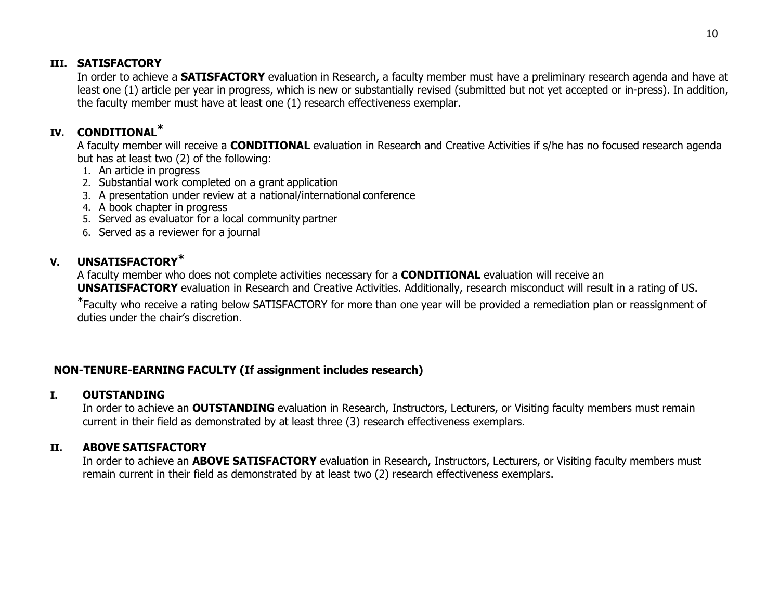### **III. SATISFACTORY**

In order to achieve a **SATISFACTORY** evaluation in Research, a faculty member must have a preliminary research agenda and have at least one (1) article per year in progress, which is new or substantially revised (submitted but not yet accepted or in-press). In addition, the faculty member must have at least one (1) research effectiveness exemplar.

# **IV. CONDITIONAL\***

A faculty member will receive a **CONDITIONAL** evaluation in Research and Creative Activities if s/he has no focused research agenda but has at least two (2) of the following:

- 1. An article in progress
- 2. Substantial work completed on a grant application
- 3. A presentation under review at a national/international conference
- 4. A book chapter in progress
- 5. Served as evaluator for a local community partner
- 6. Served as a reviewer for a journal

## **V. UNSATISFACTORY\***

A faculty member who does not complete activities necessary for a **CONDITIONAL** evaluation will receive an **UNSATISFACTORY** evaluation in Research and Creative Activities. Additionally, research misconduct will result in a rating of US.

\*Faculty who receive a rating below SATISFACTORY for more than one year will be provided a remediation plan or reassignment of duties under the chair's discretion.

## **NON-TENURE-EARNING FACULTY (If assignment includes research)**

## **I. OUTSTANDING**

In order to achieve an **OUTSTANDING** evaluation in Research, Instructors, Lecturers, or Visiting faculty members must remain current in their field as demonstrated by at least three (3) research effectiveness exemplars.

## **II. ABOVE SATISFACTORY**

In order to achieve an **ABOVE SATISFACTORY** evaluation in Research, Instructors, Lecturers, or Visiting faculty members must remain current in their field as demonstrated by at least two (2) research effectiveness exemplars.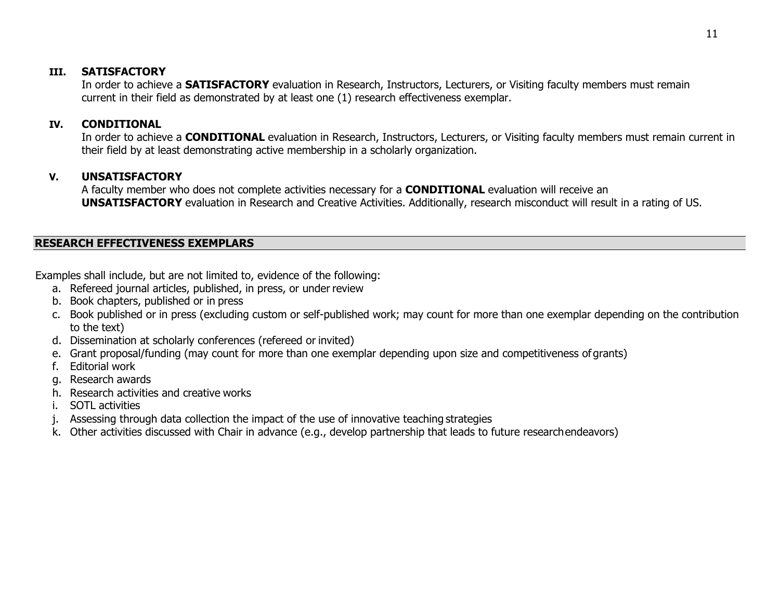### **III. SATISFACTORY**

In order to achieve a **SATISFACTORY** evaluation in Research, Instructors, Lecturers, or Visiting faculty members must remain current in their field as demonstrated by at least one (1) research effectiveness exemplar.

## **IV. CONDITIONAL**

In order to achieve a **CONDITIONAL** evaluation in Research, Instructors, Lecturers, or Visiting faculty members must remain current in their field by at least demonstrating active membership in a scholarly organization.

## **V. UNSATISFACTORY**

A faculty member who does not complete activities necessary for a **CONDITIONAL** evaluation will receive an **UNSATISFACTORY** evaluation in Research and Creative Activities. Additionally, research misconduct will result in a rating of US.

### **RESEARCH EFFECTIVENESS EXEMPLARS**

Examples shall include, but are not limited to, evidence of the following:

- a. Refereed journal articles, published, in press, or under review
- b. Book chapters, published or in press
- c. Book published or in press (excluding custom or self-published work; may count for more than one exemplar depending on the contribution to the text)
- d. Dissemination at scholarly conferences (refereed or invited)
- e. Grant proposal/funding (may count for more than one exemplar depending upon size and competitiveness ofgrants)
- f. Editorial work
- g. Research awards
- h. Research activities and creative works
- i. SOTL activities
- j. Assessing through data collection the impact of the use of innovative teaching strategies
- k. Other activities discussed with Chair in advance (e.g., develop partnership that leads to future researchendeavors)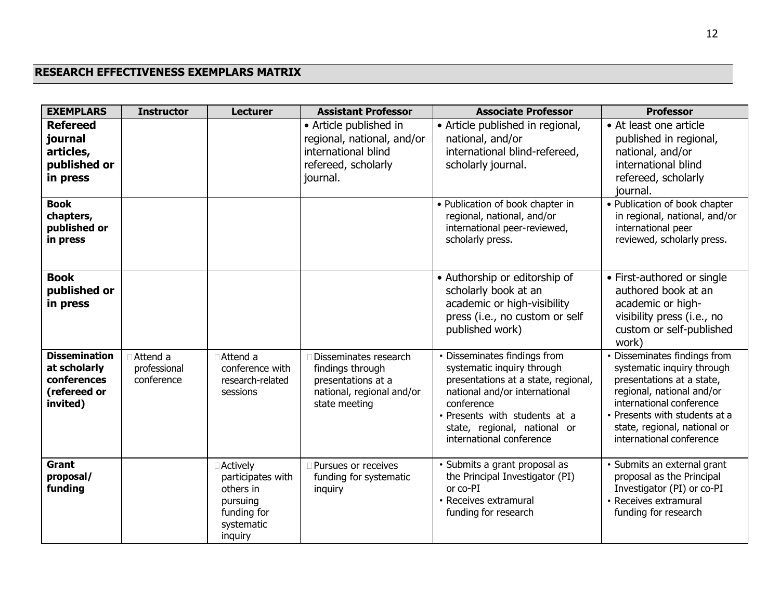# **RESEARCH EFFECTIVENESS EXEMPLARS MATRIX**

| <b>EXEMPLARS</b>                                                                   | <b>Instructor</b>                        | <b>Lecturer</b>                                                                                  | <b>Assistant Professor</b>                                                                                     | <b>Associate Professor</b>                                                                                                                                                                                                                    | <b>Professor</b>                                                                                                                                                                                                                              |
|------------------------------------------------------------------------------------|------------------------------------------|--------------------------------------------------------------------------------------------------|----------------------------------------------------------------------------------------------------------------|-----------------------------------------------------------------------------------------------------------------------------------------------------------------------------------------------------------------------------------------------|-----------------------------------------------------------------------------------------------------------------------------------------------------------------------------------------------------------------------------------------------|
| <b>Refereed</b><br>journal<br>articles,<br>published or<br>in press<br><b>Book</b> |                                          |                                                                                                  | • Article published in<br>regional, national, and/or<br>international blind<br>refereed, scholarly<br>journal. | • Article published in regional,<br>national, and/or<br>international blind-refereed,<br>scholarly journal.<br>• Publication of book chapter in                                                                                               | • At least one article<br>published in regional,<br>national, and/or<br>international blind<br>refereed, scholarly<br>journal.<br>• Publication of book chapter                                                                               |
| chapters,<br>published or<br>in press                                              |                                          |                                                                                                  |                                                                                                                | regional, national, and/or<br>international peer-reviewed,<br>scholarly press.                                                                                                                                                                | in regional, national, and/or<br>international peer<br>reviewed, scholarly press.                                                                                                                                                             |
| <b>Book</b><br>published or<br>in press                                            |                                          |                                                                                                  |                                                                                                                | • Authorship or editorship of<br>scholarly book at an<br>academic or high-visibility<br>press (i.e., no custom or self<br>published work)                                                                                                     | • First-authored or single<br>authored book at an<br>academic or high-<br>visibility press (i.e., no<br>custom or self-published<br>work)                                                                                                     |
| <b>Dissemination</b><br>at scholarly<br>conferences<br>(refereed or<br>invited)    | □ Attend a<br>professional<br>conference | □ Attend a<br>conference with<br>research-related<br>sessions                                    | Disseminates research<br>findings through<br>presentations at a<br>national, regional and/or<br>state meeting  | • Disseminates findings from<br>systematic inquiry through<br>presentations at a state, regional,<br>national and/or international<br>conference<br>· Presents with students at a<br>state, regional, national or<br>international conference | • Disseminates findings from<br>systematic inquiry through<br>presentations at a state,<br>regional, national and/or<br>international conference<br>• Presents with students at a<br>state, regional, national or<br>international conference |
| Grant<br>proposal/<br>funding                                                      |                                          | □ Actively<br>participates with<br>others in<br>pursuing<br>funding for<br>systematic<br>inquiry | □ Pursues or receives<br>funding for systematic<br>inquiry                                                     | · Submits a grant proposal as<br>the Principal Investigator (PI)<br>or co-PI<br>• Receives extramural<br>funding for research                                                                                                                 | · Submits an external grant<br>proposal as the Principal<br>Investigator (PI) or co-PI<br>• Receives extramural<br>funding for research                                                                                                       |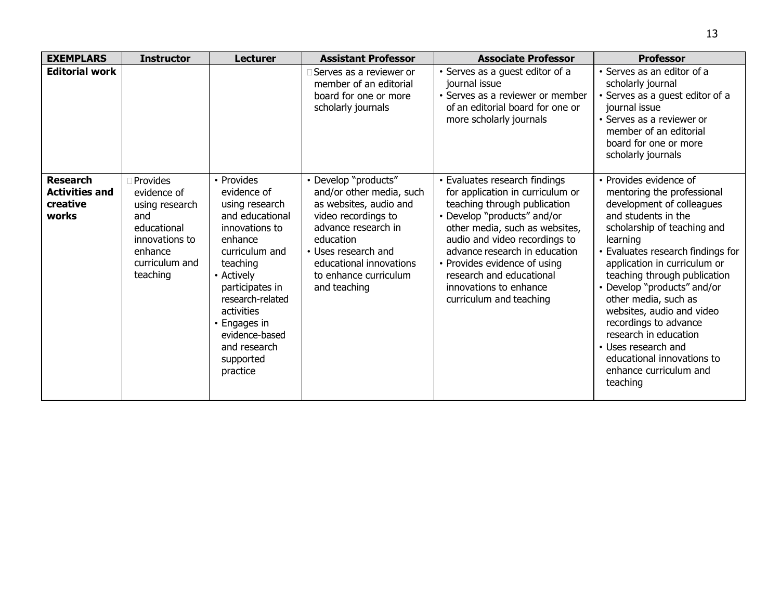| <b>EXEMPLARS</b>                                              | <b>Instructor</b>                                                                                                          | <b>Lecturer</b>                                                                                                                                                                                                                                                         | <b>Assistant Professor</b>                                                                                                                                                                                                       | <b>Associate Professor</b>                                                                                                                                                                                                                                                                                                                            | <b>Professor</b>                                                                                                                                                                                                                                                                                                                                                                                                                                                                          |
|---------------------------------------------------------------|----------------------------------------------------------------------------------------------------------------------------|-------------------------------------------------------------------------------------------------------------------------------------------------------------------------------------------------------------------------------------------------------------------------|----------------------------------------------------------------------------------------------------------------------------------------------------------------------------------------------------------------------------------|-------------------------------------------------------------------------------------------------------------------------------------------------------------------------------------------------------------------------------------------------------------------------------------------------------------------------------------------------------|-------------------------------------------------------------------------------------------------------------------------------------------------------------------------------------------------------------------------------------------------------------------------------------------------------------------------------------------------------------------------------------------------------------------------------------------------------------------------------------------|
| <b>Editorial work</b>                                         |                                                                                                                            |                                                                                                                                                                                                                                                                         | Serves as a reviewer or<br>member of an editorial<br>board for one or more<br>scholarly journals                                                                                                                                 | · Serves as a guest editor of a<br>journal issue<br>• Serves as a reviewer or member<br>of an editorial board for one or<br>more scholarly journals                                                                                                                                                                                                   | • Serves as an editor of a<br>scholarly journal<br>· Serves as a guest editor of a<br>journal issue<br>• Serves as a reviewer or<br>member of an editorial<br>board for one or more<br>scholarly journals                                                                                                                                                                                                                                                                                 |
| <b>Research</b><br><b>Activities and</b><br>creative<br>works | Provides<br>evidence of<br>using research<br>and<br>educational<br>innovations to<br>enhance<br>curriculum and<br>teaching | • Provides<br>evidence of<br>using research<br>and educational<br>innovations to<br>enhance<br>curriculum and<br>teaching<br>• Actively<br>participates in<br>research-related<br>activities<br>• Engages in<br>evidence-based<br>and research<br>supported<br>practice | • Develop "products"<br>and/or other media, such<br>as websites, audio and<br>video recordings to<br>advance research in<br>education<br>• Uses research and<br>educational innovations<br>to enhance curriculum<br>and teaching | • Evaluates research findings<br>for application in curriculum or<br>teaching through publication<br>• Develop "products" and/or<br>other media, such as websites,<br>audio and video recordings to<br>advance research in education<br>• Provides evidence of using<br>research and educational<br>innovations to enhance<br>curriculum and teaching | • Provides evidence of<br>mentoring the professional<br>development of colleagues<br>and students in the<br>scholarship of teaching and<br>learning<br>• Evaluates research findings for<br>application in curriculum or<br>teaching through publication<br>• Develop "products" and/or<br>other media, such as<br>websites, audio and video<br>recordings to advance<br>research in education<br>• Uses research and<br>educational innovations to<br>enhance curriculum and<br>teaching |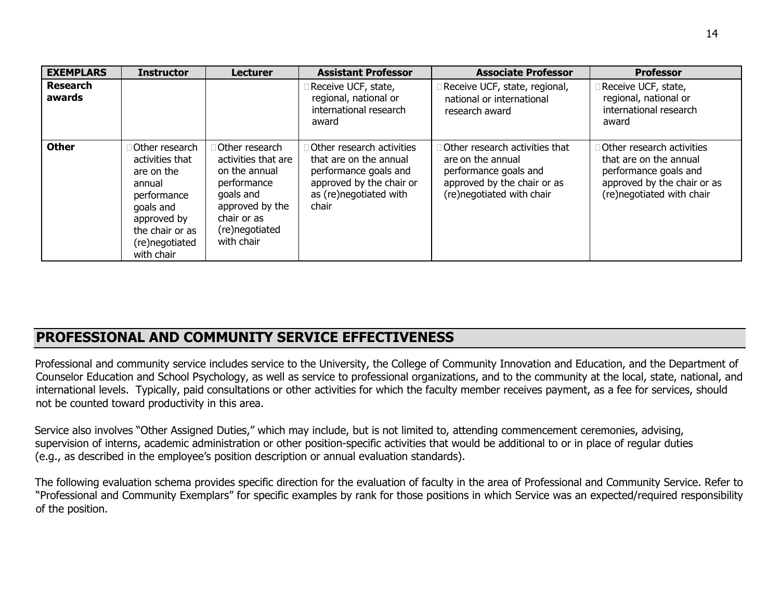| <b>EXEMPLARS</b>          | <b>Instructor</b>                                                                                                                                       | <b>Lecturer</b>                                                                                                                                      | <b>Assistant Professor</b>                                                                                                                         | <b>Associate Professor</b>                                                                                                               | <b>Professor</b>                                                                                                                                |
|---------------------------|---------------------------------------------------------------------------------------------------------------------------------------------------------|------------------------------------------------------------------------------------------------------------------------------------------------------|----------------------------------------------------------------------------------------------------------------------------------------------------|------------------------------------------------------------------------------------------------------------------------------------------|-------------------------------------------------------------------------------------------------------------------------------------------------|
| <b>Research</b><br>awards |                                                                                                                                                         |                                                                                                                                                      | Receive UCF, state,<br>regional, national or<br>international research<br>award                                                                    | Receive UCF, state, regional,<br>national or international<br>research award                                                             | Receive UCF, state,<br>regional, national or<br>international research<br>award                                                                 |
| <b>Other</b>              | Other research<br>activities that<br>are on the<br>annual<br>performance<br>goals and<br>approved by<br>the chair or as<br>(re)negotiated<br>with chair | Other research<br>activities that are<br>on the annual<br>performance<br>goals and<br>approved by the<br>chair or as<br>(re)negotiated<br>with chair | <b>Other research activities</b><br>that are on the annual<br>performance goals and<br>approved by the chair or<br>as (re)negotiated with<br>chair | Other research activities that<br>are on the annual<br>performance goals and<br>approved by the chair or as<br>(re)negotiated with chair | <b>Other research activities</b><br>that are on the annual<br>performance goals and<br>approved by the chair or as<br>(re)negotiated with chair |

# **PROFESSIONAL AND COMMUNITY SERVICE EFFECTIVENESS**

Professional and community service includes service to the University, the College of Community Innovation and Education, and the Department of Counselor Education and School Psychology, as well as service to professional organizations, and to the community at the local, state, national, and international levels. Typically, paid consultations or other activities for which the faculty member receives payment, as a fee for services, should not be counted toward productivity in this area.

Service also involves "Other Assigned Duties," which may include, but is not limited to, attending commencement ceremonies, advising, supervision of interns, academic administration or other position-specific activities that would be additional to or in place of regular duties (e.g., as described in the employee's position description or annual evaluation standards).

The following evaluation schema provides specific direction for the evaluation of faculty in the area of Professional and Community Service. Refer to "Professional and Community Exemplars" for specific examples by rank for those positions in which Service was an expected/required responsibility of the position.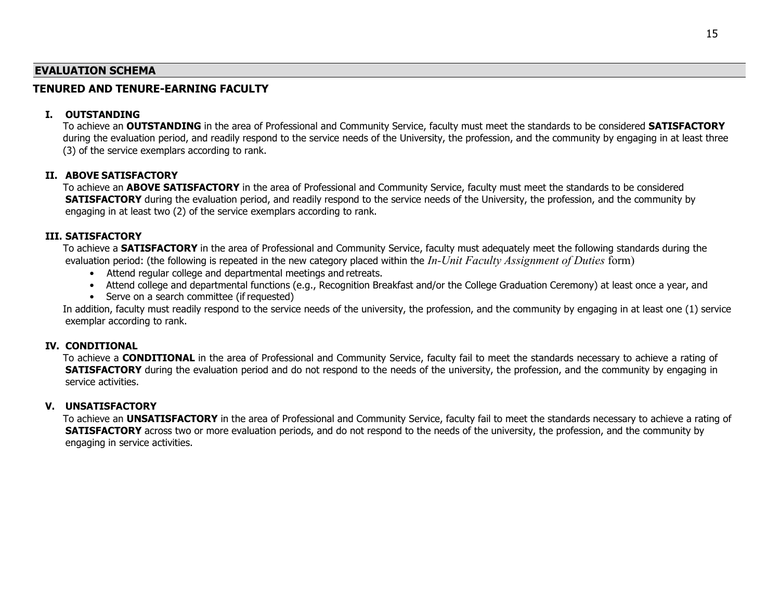#### **EVALUATION SCHEMA**

#### **TENURED AND TENURE-EARNING FACULTY**

#### **I. OUTSTANDING**

To achieve an **OUTSTANDING** in the area of Professional and Community Service, faculty must meet the standards to be considered **SATISFACTORY** during the evaluation period, and readily respond to the service needs of the University, the profession, and the community by engaging in at least three (3) of the service exemplars according to rank.

#### **II. ABOVE SATISFACTORY**

To achieve an **ABOVE SATISFACTORY** in the area of Professional and Community Service, faculty must meet the standards to be considered **SATISFACTORY** during the evaluation period, and readily respond to the service needs of the University, the profession, and the community by engaging in at least two (2) of the service exemplars according to rank.

#### **III. SATISFACTORY**

To achieve a **SATISFACTORY** in the area of Professional and Community Service, faculty must adequately meet the following standards during the evaluation period: (the following is repeated in the new category placed within the *In-Unit Faculty Assignment of Duties* form)

- Attend regular college and departmental meetings and retreats.
- Attend college and departmental functions (e.g., Recognition Breakfast and/or the College Graduation Ceremony) at least once a year, and
- Serve on a search committee (if requested)

In addition, faculty must readily respond to the service needs of the university, the profession, and the community by engaging in at least one (1) service exemplar according to rank.

#### **IV. CONDITIONAL**

To achieve a **CONDITIONAL** in the area of Professional and Community Service, faculty fail to meet the standards necessary to achieve a rating of **SATISFACTORY** during the evaluation period and do not respond to the needs of the university, the profession, and the community by engaging in service activities.

#### **V. UNSATISFACTORY**

To achieve an **UNSATISFACTORY** in the area of Professional and Community Service, faculty fail to meet the standards necessary to achieve a rating of **SATISFACTORY** across two or more evaluation periods, and do not respond to the needs of the university, the profession, and the community by engaging in service activities.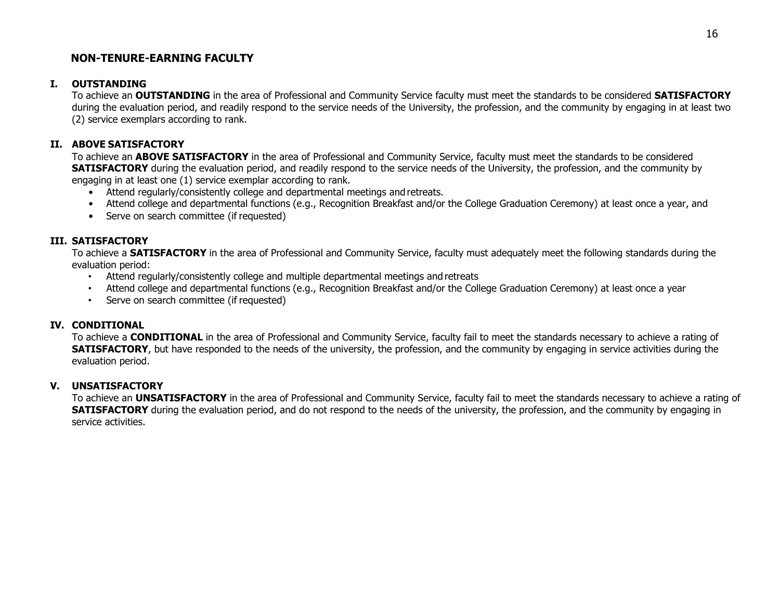#### **NON-TENURE-EARNING FACULTY**

#### **I. OUTSTANDING**

To achieve an **OUTSTANDING** in the area of Professional and Community Service faculty must meet the standards to be considered **SATISFACTORY** during the evaluation period, and readily respond to the service needs of the University, the profession, and the community by engaging in at least two (2) service exemplars according to rank.

#### **II. ABOVE SATISFACTORY**

To achieve an **ABOVE SATISFACTORY** in the area of Professional and Community Service, faculty must meet the standards to be considered **SATISFACTORY** during the evaluation period, and readily respond to the service needs of the University, the profession, and the community by engaging in at least one (1) service exemplar according to rank.

- Attend regularly/consistently college and departmental meetings and retreats.
- Attend college and departmental functions (e.g., Recognition Breakfast and/or the College Graduation Ceremony) at least once a year, and
- Serve on search committee (if requested)

#### **III. SATISFACTORY**

To achieve a **SATISFACTORY** in the area of Professional and Community Service, faculty must adequately meet the following standards during the evaluation period:

- Attend regularly/consistently college and multiple departmental meetings and retreats
- Attend college and departmental functions (e.g., Recognition Breakfast and/or the College Graduation Ceremony) at least once a year
- Serve on search committee (if requested)

#### **IV. CONDITIONAL**

To achieve a **CONDITIONAL** in the area of Professional and Community Service, faculty fail to meet the standards necessary to achieve a rating of **SATISFACTORY**, but have responded to the needs of the university, the profession, and the community by engaging in service activities during the evaluation period.

#### **V. UNSATISFACTORY**

To achieve an **UNSATISFACTORY** in the area of Professional and Community Service, faculty fail to meet the standards necessary to achieve a rating of **SATISFACTORY** during the evaluation period, and do not respond to the needs of the university, the profession, and the community by engaging in service activities.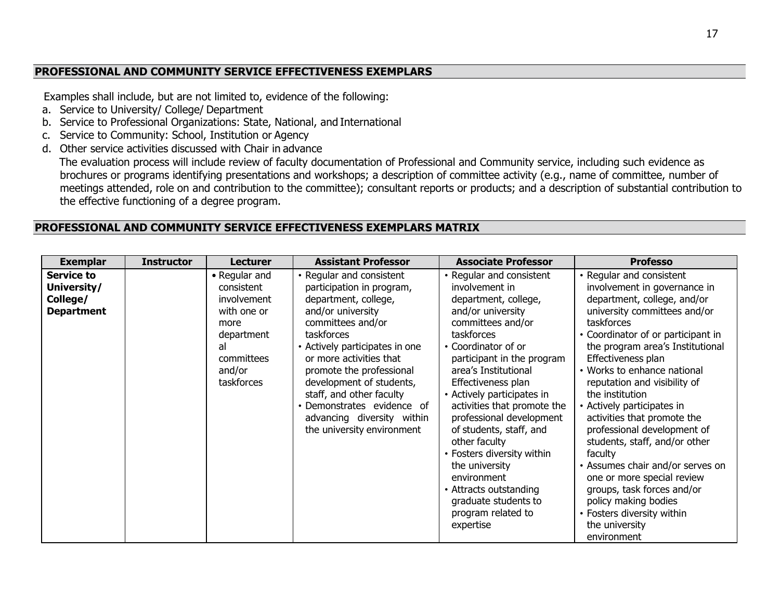### **PROFESSIONAL AND COMMUNITY SERVICE EFFECTIVENESS EXEMPLARS**

Examples shall include, but are not limited to, evidence of the following:

- a. Service to University/ College/ Department
- b. Service to Professional Organizations: State, National, and International
- c. Service to Community: School, Institution or Agency
- d. Other service activities discussed with Chair in advance

The evaluation process will include review of faculty documentation of Professional and Community service, including such evidence as brochures or programs identifying presentations and workshops; a description of committee activity (e.g., name of committee, number of meetings attended, role on and contribution to the committee); consultant reports or products; and a description of substantial contribution to the effective functioning of a degree program.

#### **PROFESSIONAL AND COMMUNITY SERVICE EFFECTIVENESS EXEMPLARS MATRIX**

| <b>Exemplar</b>                                                   | <b>Instructor</b> | <b>Lecturer</b>                                                                                                             | <b>Assistant Professor</b>                                                                                                                                                                                                                                                                                                                                                       | <b>Associate Professor</b>                                                                                                                                                                                                                                                                                                                                                                                                                                                                                             | <b>Professo</b>                                                                                                                                                                                                                                                                                                                                                                                                                                                                                                                                                                                                                                        |
|-------------------------------------------------------------------|-------------------|-----------------------------------------------------------------------------------------------------------------------------|----------------------------------------------------------------------------------------------------------------------------------------------------------------------------------------------------------------------------------------------------------------------------------------------------------------------------------------------------------------------------------|------------------------------------------------------------------------------------------------------------------------------------------------------------------------------------------------------------------------------------------------------------------------------------------------------------------------------------------------------------------------------------------------------------------------------------------------------------------------------------------------------------------------|--------------------------------------------------------------------------------------------------------------------------------------------------------------------------------------------------------------------------------------------------------------------------------------------------------------------------------------------------------------------------------------------------------------------------------------------------------------------------------------------------------------------------------------------------------------------------------------------------------------------------------------------------------|
| <b>Service to</b><br>University/<br>College/<br><b>Department</b> |                   | • Regular and<br>consistent<br>involvement<br>with one or<br>more<br>department<br>al<br>committees<br>and/or<br>taskforces | • Regular and consistent<br>participation in program,<br>department, college,<br>and/or university<br>committees and/or<br>taskforces<br>• Actively participates in one<br>or more activities that<br>promote the professional<br>development of students,<br>staff, and other faculty<br>· Demonstrates evidence of<br>advancing diversity within<br>the university environment | • Regular and consistent<br>involvement in<br>department, college,<br>and/or university<br>committees and/or<br>taskforces<br>• Coordinator of or<br>participant in the program<br>area's Institutional<br>Effectiveness plan<br>• Actively participates in<br>activities that promote the<br>professional development<br>of students, staff, and<br>other faculty<br>• Fosters diversity within<br>the university<br>environment<br>• Attracts outstanding<br>graduate students to<br>program related to<br>expertise | • Regular and consistent<br>involvement in governance in<br>department, college, and/or<br>university committees and/or<br>taskforces<br>• Coordinator of or participant in<br>the program area's Institutional<br>Effectiveness plan<br>• Works to enhance national<br>reputation and visibility of<br>the institution<br>• Actively participates in<br>activities that promote the<br>professional development of<br>students, staff, and/or other<br>faculty<br>• Assumes chair and/or serves on<br>one or more special review<br>groups, task forces and/or<br>policy making bodies<br>• Fosters diversity within<br>the university<br>environment |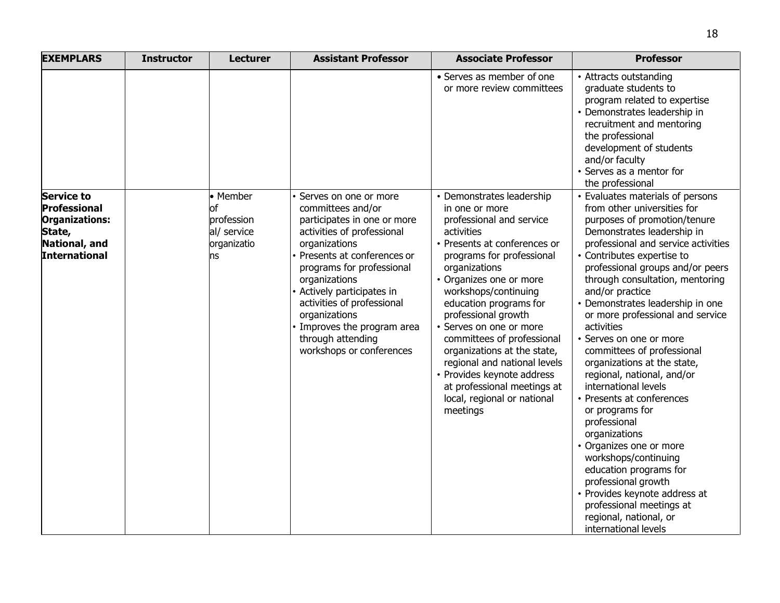| <b>EXEMPLARS</b>                                                                                              | <b>Instructor</b> | <b>Lecturer</b>                                                  | <b>Assistant Professor</b>                                                                                                                                                                                                                                                                                                                                          | <b>Associate Professor</b>                                                                                                                                                                                                                                                                                                                                                                                                                                                                              | <b>Professor</b>                                                                                                                                                                                                                                                                                                                                                                                                                                                                                                                                                                                                                                                                                                                                                                                                                     |
|---------------------------------------------------------------------------------------------------------------|-------------------|------------------------------------------------------------------|---------------------------------------------------------------------------------------------------------------------------------------------------------------------------------------------------------------------------------------------------------------------------------------------------------------------------------------------------------------------|---------------------------------------------------------------------------------------------------------------------------------------------------------------------------------------------------------------------------------------------------------------------------------------------------------------------------------------------------------------------------------------------------------------------------------------------------------------------------------------------------------|--------------------------------------------------------------------------------------------------------------------------------------------------------------------------------------------------------------------------------------------------------------------------------------------------------------------------------------------------------------------------------------------------------------------------------------------------------------------------------------------------------------------------------------------------------------------------------------------------------------------------------------------------------------------------------------------------------------------------------------------------------------------------------------------------------------------------------------|
|                                                                                                               |                   |                                                                  |                                                                                                                                                                                                                                                                                                                                                                     | • Serves as member of one<br>or more review committees                                                                                                                                                                                                                                                                                                                                                                                                                                                  | • Attracts outstanding<br>graduate students to<br>program related to expertise<br>• Demonstrates leadership in<br>recruitment and mentoring<br>the professional<br>development of students<br>and/or faculty<br>• Serves as a mentor for<br>the professional                                                                                                                                                                                                                                                                                                                                                                                                                                                                                                                                                                         |
| <b>Service to</b><br><b>Professional</b><br>Organizations:<br>State,<br>National, and<br><b>International</b> |                   | • Member<br>of<br>profession<br>al/ service<br>organizatio<br>ns | Serves on one or more<br>committees and/or<br>participates in one or more<br>activities of professional<br>organizations<br>• Presents at conferences or<br>programs for professional<br>organizations<br>• Actively participates in<br>activities of professional<br>organizations<br>· Improves the program area<br>through attending<br>workshops or conferences | • Demonstrates leadership<br>in one or more<br>professional and service<br>activities<br>• Presents at conferences or<br>programs for professional<br>organizations<br>• Organizes one or more<br>workshops/continuing<br>education programs for<br>professional growth<br>· Serves on one or more<br>committees of professional<br>organizations at the state,<br>regional and national levels<br>• Provides keynote address<br>at professional meetings at<br>local, regional or national<br>meetings | • Evaluates materials of persons<br>from other universities for<br>purposes of promotion/tenure<br>Demonstrates leadership in<br>professional and service activities<br>• Contributes expertise to<br>professional groups and/or peers<br>through consultation, mentoring<br>and/or practice<br>• Demonstrates leadership in one<br>or more professional and service<br>activities<br>• Serves on one or more<br>committees of professional<br>organizations at the state,<br>regional, national, and/or<br>international levels<br>• Presents at conferences<br>or programs for<br>professional<br>organizations<br>• Organizes one or more<br>workshops/continuing<br>education programs for<br>professional growth<br>• Provides keynote address at<br>professional meetings at<br>regional, national, or<br>international levels |